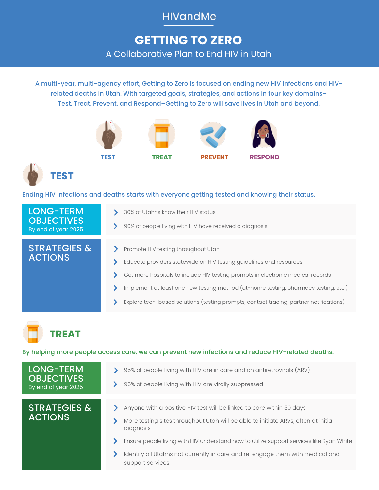## **HIVandMe**

# **GETTING TO ZERO** A Collaborative Plan to End HIV in Utah

A multi-year, multi-agency effort, Getting to Zero is focused on ending new HIV infections and HIVrelated deaths in Utah. With targeted goals, strategies, and actions in four key domains– Test, Treat, Prevent, and Respond–Getting to Zero will save lives in Utah and beyond.





Ending HIV infections and deaths starts with everyone getting tested and knowing their status.

| LONG-TERM<br><b>OBJECTIVES</b><br>By end of year 2025 | 30% of Utahns know their HIV status<br>90% of people living with HIV have received a diagnosis                                                                                                                                                                                                                                                                                 |
|-------------------------------------------------------|--------------------------------------------------------------------------------------------------------------------------------------------------------------------------------------------------------------------------------------------------------------------------------------------------------------------------------------------------------------------------------|
| <b>STRATEGIES &amp;</b><br><b>ACTIONS</b>             | Promote HIV testing throughout Utah<br>Educate providers statewide on HIV testing guidelines and resources<br>Get more hospitals to include HIV testing prompts in electronic medical records<br>Implement at least one new testing method (at-home testing, pharmacy testing, etc.)<br>Explore tech-based solutions (testing prompts, contact tracing, partner notifications) |



By helping more people access care, we can prevent new infections and reduce HIV-related deaths.

LONG-TERM **OBJECTIVES** By end of year 2025

STRATEGIES & ACTIONS

- > 95% of people living with HIV are in care and on antiretrovirals (ARV)
- > 95% of people living with HIV are virally suppressed

- Anyone with a positive HIV test will be linked to care within 30 days
- More testing sites throughout Utah will be able to initiate ARVs, often at initial diagnosis
- Ensure people living with HIV understand how to utilize support services like Ryan White ⋗
- ≻ Identify all Utahns not currently in care and re-engage them with medical and support services